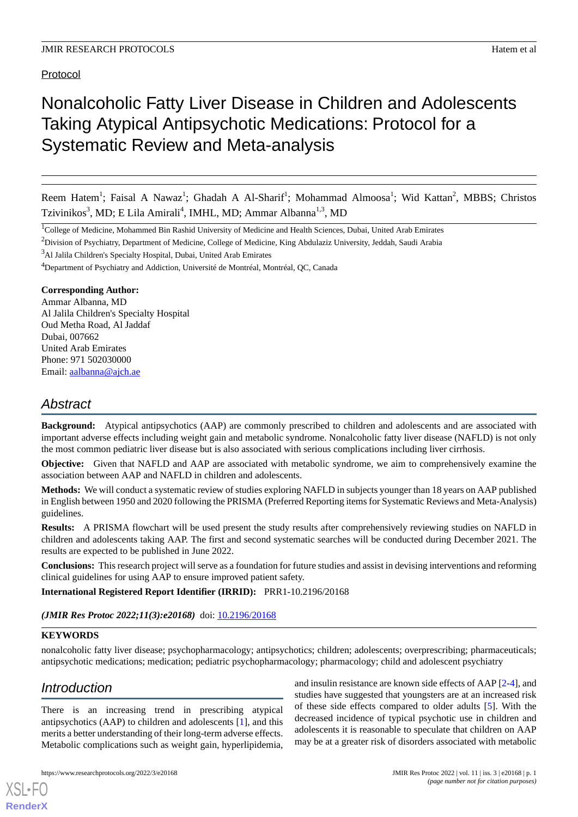Protocol

# Nonalcoholic Fatty Liver Disease in Children and Adolescents Taking Atypical Antipsychotic Medications: Protocol for a Systematic Review and Meta-analysis

Reem Hatem<sup>1</sup>; Faisal A Nawaz<sup>1</sup>; Ghadah A Al-Sharif<sup>1</sup>; Mohammad Almoosa<sup>1</sup>; Wid Kattan<sup>2</sup>, MBBS; Christos Tzivinikos<sup>3</sup>, MD; E Lila Amirali<sup>4</sup>, IMHL, MD; Ammar Albanna<sup>1,3</sup>, MD

<sup>1</sup>College of Medicine, Mohammed Bin Rashid University of Medicine and Health Sciences, Dubai, United Arab Emirates

<sup>2</sup>Division of Psychiatry, Department of Medicine, College of Medicine, King Abdulaziz University, Jeddah, Saudi Arabia

<sup>3</sup>Al Jalila Children's Specialty Hospital, Dubai, United Arab Emirates

<sup>4</sup>Department of Psychiatry and Addiction, Université de Montréal, Montréal, QC, Canada

#### **Corresponding Author:**

Ammar Albanna, MD Al Jalila Children's Specialty Hospital Oud Metha Road, Al Jaddaf Dubai, 007662 United Arab Emirates Phone: 971 502030000 Email: [aalbanna@ajch.ae](mailto:aalbanna@ajch.ae)

# *Abstract*

**Background:** Atypical antipsychotics (AAP) are commonly prescribed to children and adolescents and are associated with important adverse effects including weight gain and metabolic syndrome. Nonalcoholic fatty liver disease (NAFLD) is not only the most common pediatric liver disease but is also associated with serious complications including liver cirrhosis.

**Objective:** Given that NAFLD and AAP are associated with metabolic syndrome, we aim to comprehensively examine the association between AAP and NAFLD in children and adolescents.

**Methods:** We will conduct a systematic review of studies exploring NAFLD in subjects younger than 18 years on AAP published in English between 1950 and 2020 following the PRISMA (Preferred Reporting items for Systematic Reviews and Meta-Analysis) guidelines.

**Results:** A PRISMA flowchart will be used present the study results after comprehensively reviewing studies on NAFLD in children and adolescents taking AAP. The first and second systematic searches will be conducted during December 2021. The results are expected to be published in June 2022.

**Conclusions:** This research project will serve as a foundation for future studies and assist in devising interventions and reforming clinical guidelines for using AAP to ensure improved patient safety.

**International Registered Report Identifier (IRRID):** PRR1-10.2196/20168

(JMIR Res Protoc 2022;11(3):e20168) doi: [10.2196/20168](http://dx.doi.org/10.2196/20168)

## **KEYWORDS**

nonalcoholic fatty liver disease; psychopharmacology; antipsychotics; children; adolescents; overprescribing; pharmaceuticals; antipsychotic medications; medication; pediatric psychopharmacology; pharmacology; child and adolescent psychiatry

# *Introduction*

[XSL](http://www.w3.org/Style/XSL)•FO **[RenderX](http://www.renderx.com/)**

There is an increasing trend in prescribing atypical antipsychotics (AAP) to children and adolescents [[1\]](#page-4-0), and this merits a better understanding of their long-term adverse effects. Metabolic complications such as weight gain, hyperlipidemia,

and insulin resistance are known side effects of AAP [\[2](#page-4-1)[-4](#page-4-2)], and studies have suggested that youngsters are at an increased risk of these side effects compared to older adults [\[5](#page-4-3)]. With the decreased incidence of typical psychotic use in children and adolescents it is reasonable to speculate that children on AAP may be at a greater risk of disorders associated with metabolic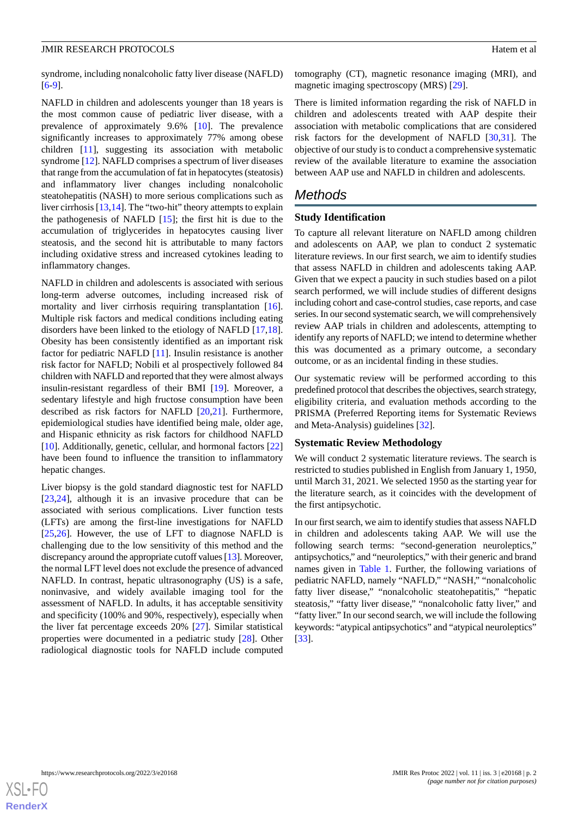#### **JMIR RESEARCH PROTOCOLS SECULAR ASSESSMENT OF A SECULAR EXECUTIVE CONSTRUERED FOR A SECULAR EXECUTIVE CONSTRUERED FOR A SECULAR EXECUTIVE CONSTRUERED FOR A SECULAR EXECUTIVE CONSTRUERED FOR A SECULAR EXECUTIVE CONSTRUER**

syndrome, including nonalcoholic fatty liver disease (NAFLD)  $[6-9]$  $[6-9]$  $[6-9]$  $[6-9]$ .

NAFLD in children and adolescents younger than 18 years is the most common cause of pediatric liver disease, with a prevalence of approximately 9.6% [[10\]](#page-4-6). The prevalence significantly increases to approximately 77% among obese children [[11\]](#page-4-7), suggesting its association with metabolic syndrome [\[12](#page-4-8)]. NAFLD comprises a spectrum of liver diseases that range from the accumulation of fat in hepatocytes (steatosis) and inflammatory liver changes including nonalcoholic steatohepatitis (NASH) to more serious complications such as liver cirrhosis [\[13](#page-4-9),[14\]](#page-4-10). The "two-hit" theory attempts to explain the pathogenesis of NAFLD [\[15](#page-5-0)]; the first hit is due to the accumulation of triglycerides in hepatocytes causing liver steatosis, and the second hit is attributable to many factors including oxidative stress and increased cytokines leading to inflammatory changes.

NAFLD in children and adolescents is associated with serious long-term adverse outcomes, including increased risk of mortality and liver cirrhosis requiring transplantation [[16\]](#page-5-1). Multiple risk factors and medical conditions including eating disorders have been linked to the etiology of NAFLD [\[17](#page-5-2),[18\]](#page-5-3). Obesity has been consistently identified as an important risk factor for pediatric NAFLD [\[11](#page-4-7)]. Insulin resistance is another risk factor for NAFLD; Nobili et al prospectively followed 84 children with NAFLD and reported that they were almost always insulin-resistant regardless of their BMI [\[19](#page-5-4)]. Moreover, a sedentary lifestyle and high fructose consumption have been described as risk factors for NAFLD [\[20](#page-5-5),[21\]](#page-5-6). Furthermore, epidemiological studies have identified being male, older age, and Hispanic ethnicity as risk factors for childhood NAFLD [[10\]](#page-4-6). Additionally, genetic, cellular, and hormonal factors [\[22](#page-5-7)] have been found to influence the transition to inflammatory hepatic changes.

Liver biopsy is the gold standard diagnostic test for NAFLD [[23](#page-5-8)[,24](#page-5-9)], although it is an invasive procedure that can be associated with serious complications. Liver function tests (LFTs) are among the first-line investigations for NAFLD [[25](#page-5-10)[,26](#page-5-11)]. However, the use of LFT to diagnose NAFLD is challenging due to the low sensitivity of this method and the discrepancy around the appropriate cutoff values [\[13\]](#page-4-9). Moreover, the normal LFT level does not exclude the presence of advanced NAFLD. In contrast, hepatic ultrasonography (US) is a safe, noninvasive, and widely available imaging tool for the assessment of NAFLD. In adults, it has acceptable sensitivity and specificity (100% and 90%, respectively), especially when the liver fat percentage exceeds 20% [\[27](#page-5-12)]. Similar statistical properties were documented in a pediatric study [\[28](#page-5-13)]. Other radiological diagnostic tools for NAFLD include computed

tomography (CT), magnetic resonance imaging (MRI), and magnetic imaging spectroscopy (MRS) [\[29](#page-5-14)].

There is limited information regarding the risk of NAFLD in children and adolescents treated with AAP despite their association with metabolic complications that are considered risk factors for the development of NAFLD [[30,](#page-5-15)[31\]](#page-5-16). The objective of our study is to conduct a comprehensive systematic review of the available literature to examine the association between AAP use and NAFLD in children and adolescents.

# *Methods*

#### **Study Identification**

To capture all relevant literature on NAFLD among children and adolescents on AAP, we plan to conduct 2 systematic literature reviews. In our first search, we aim to identify studies that assess NAFLD in children and adolescents taking AAP. Given that we expect a paucity in such studies based on a pilot search performed, we will include studies of different designs including cohort and case-control studies, case reports, and case series. In our second systematic search, we will comprehensively review AAP trials in children and adolescents, attempting to identify any reports of NAFLD; we intend to determine whether this was documented as a primary outcome, a secondary outcome, or as an incidental finding in these studies.

Our systematic review will be performed according to this predefined protocol that describes the objectives, search strategy, eligibility criteria, and evaluation methods according to the PRISMA (Preferred Reporting items for Systematic Reviews and Meta-Analysis) guidelines [\[32](#page-5-17)].

#### **Systematic Review Methodology**

We will conduct 2 systematic literature reviews. The search is restricted to studies published in English from January 1, 1950, until March 31, 2021. We selected 1950 as the starting year for the literature search, as it coincides with the development of the first antipsychotic.

In our first search, we aim to identify studies that assess NAFLD in children and adolescents taking AAP. We will use the following search terms: "second-generation neuroleptics," antipsychotics," and "neuroleptics," with their generic and brand names given in [Table 1](#page-2-0). Further, the following variations of pediatric NAFLD, namely "NAFLD," "NASH," "nonalcoholic fatty liver disease," "nonalcoholic steatohepatitis," "hepatic steatosis," "fatty liver disease," "nonalcoholic fatty liver," and "fatty liver." In our second search, we will include the following keywords: "atypical antipsychotics" and "atypical neuroleptics" [[33\]](#page-5-18).

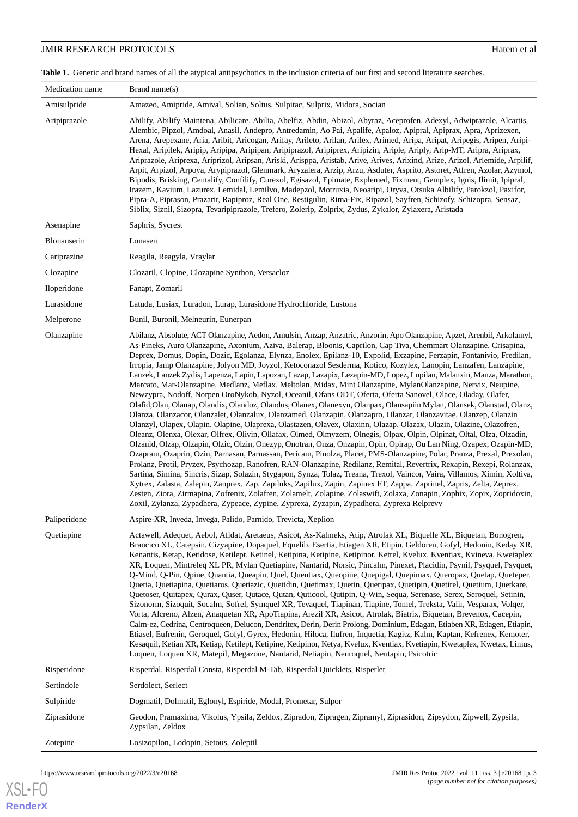### **JMIR RESEARCH PROTOCOLS** Hatem et al.

<span id="page-2-0"></span>Table 1. Generic and brand names of all the atypical antipsychotics in the inclusion criteria of our first and second literature searches.

| Medication name | Brand name $(s)$                                                                                                                                                                                                                                                                                                                                                                                                                                                                                                                                                                                                                                                                                                                                                                                                                                                                                                                                                                                                                                                                                                                                                                                                                                                                                                                                                                                                                                                                                                                                                                                                                                                                                                                                                                                                                                                                                                                                                                                                                                                                                                                                                                                                   |
|-----------------|--------------------------------------------------------------------------------------------------------------------------------------------------------------------------------------------------------------------------------------------------------------------------------------------------------------------------------------------------------------------------------------------------------------------------------------------------------------------------------------------------------------------------------------------------------------------------------------------------------------------------------------------------------------------------------------------------------------------------------------------------------------------------------------------------------------------------------------------------------------------------------------------------------------------------------------------------------------------------------------------------------------------------------------------------------------------------------------------------------------------------------------------------------------------------------------------------------------------------------------------------------------------------------------------------------------------------------------------------------------------------------------------------------------------------------------------------------------------------------------------------------------------------------------------------------------------------------------------------------------------------------------------------------------------------------------------------------------------------------------------------------------------------------------------------------------------------------------------------------------------------------------------------------------------------------------------------------------------------------------------------------------------------------------------------------------------------------------------------------------------------------------------------------------------------------------------------------------------|
| Amisulpride     | Amazeo, Amipride, Amival, Solian, Soltus, Sulpitac, Sulprix, Midora, Socian                                                                                                                                                                                                                                                                                                                                                                                                                                                                                                                                                                                                                                                                                                                                                                                                                                                                                                                                                                                                                                                                                                                                                                                                                                                                                                                                                                                                                                                                                                                                                                                                                                                                                                                                                                                                                                                                                                                                                                                                                                                                                                                                        |
| Aripiprazole    | Abilify, Abilify Maintena, Abilicare, Abilia, Abelfiz, Abdin, Abizol, Abyraz, Aceprofen, Adexyl, Adwiprazole, Alcartis,<br>Alembic, Pipzol, Amdoal, Anasil, Andepro, Antredamin, Ao Pai, Apalife, Apaloz, Apipral, Apiprax, Apra, Aprizexen,<br>Arena, Arepexane, Aria, Aribit, Aricogan, Arifay, Arileto, Arilan, Arilex, Arimed, Aripa, Aripat, Aripegis, Aripen, Aripi-<br>Hexal, Aripilek, Aripip, Aripipa, Aripipan, Aripiprazol, Aripiprex, Aripizin, Ariple, Ariply, Arip-MT, Aripra, Ariprax,<br>Ariprazole, Ariprexa, Ariprizol, Aripsan, Ariski, Arisppa, Aristab, Arive, Arives, Arixind, Arize, Arizol, Arlemide, Arpilif,<br>Arpit, Arpizol, Arpoya, Arypiprazol, Glenmark, Aryzalera, Arzip, Arzu, Asduter, Asprito, Astoret, Atfren, Azolar, Azymol,<br>Bipodis, Brisking, Centalify, Confilify, Curexol, Egisazol, Epimate, Explemed, Fixment, Gemplex, Ignis, Ilimit, Ipipral,<br>Irazem, Kavium, Lazurex, Lemidal, Lemilvo, Madepzol, Motruxia, Neoaripi, Oryva, Otsuka Albilify, Parokzol, Paxifor,<br>Pipra-A, Piprason, Prazarit, Rapiproz, Real One, Restigulin, Rima-Fix, Ripazol, Sayfren, Schizofy, Schizopra, Sensaz,<br>Siblix, Siznil, Sizopra, Tevaripiprazole, Trefero, Zolerip, Zolprix, Zydus, Zykalor, Zylaxera, Aristada                                                                                                                                                                                                                                                                                                                                                                                                                                                                                                                                                                                                                                                                                                                                                                                                                                                                                                                                                         |
| Asenapine       | Saphris, Sycrest                                                                                                                                                                                                                                                                                                                                                                                                                                                                                                                                                                                                                                                                                                                                                                                                                                                                                                                                                                                                                                                                                                                                                                                                                                                                                                                                                                                                                                                                                                                                                                                                                                                                                                                                                                                                                                                                                                                                                                                                                                                                                                                                                                                                   |
| Blonanserin     | Lonasen                                                                                                                                                                                                                                                                                                                                                                                                                                                                                                                                                                                                                                                                                                                                                                                                                                                                                                                                                                                                                                                                                                                                                                                                                                                                                                                                                                                                                                                                                                                                                                                                                                                                                                                                                                                                                                                                                                                                                                                                                                                                                                                                                                                                            |
| Cariprazine     | Reagila, Reagyla, Vraylar                                                                                                                                                                                                                                                                                                                                                                                                                                                                                                                                                                                                                                                                                                                                                                                                                                                                                                                                                                                                                                                                                                                                                                                                                                                                                                                                                                                                                                                                                                                                                                                                                                                                                                                                                                                                                                                                                                                                                                                                                                                                                                                                                                                          |
| Clozapine       | Clozaril, Clopine, Clozapine Synthon, Versacloz                                                                                                                                                                                                                                                                                                                                                                                                                                                                                                                                                                                                                                                                                                                                                                                                                                                                                                                                                                                                                                                                                                                                                                                                                                                                                                                                                                                                                                                                                                                                                                                                                                                                                                                                                                                                                                                                                                                                                                                                                                                                                                                                                                    |
| Iloperidone     | Fanapt, Zomaril                                                                                                                                                                                                                                                                                                                                                                                                                                                                                                                                                                                                                                                                                                                                                                                                                                                                                                                                                                                                                                                                                                                                                                                                                                                                                                                                                                                                                                                                                                                                                                                                                                                                                                                                                                                                                                                                                                                                                                                                                                                                                                                                                                                                    |
| Lurasidone      | Latuda, Lusiax, Luradon, Lurap, Lurasidone Hydrochloride, Lustona                                                                                                                                                                                                                                                                                                                                                                                                                                                                                                                                                                                                                                                                                                                                                                                                                                                                                                                                                                                                                                                                                                                                                                                                                                                                                                                                                                                                                                                                                                                                                                                                                                                                                                                                                                                                                                                                                                                                                                                                                                                                                                                                                  |
| Melperone       | Bunil, Buronil, Melneurin, Eunerpan                                                                                                                                                                                                                                                                                                                                                                                                                                                                                                                                                                                                                                                                                                                                                                                                                                                                                                                                                                                                                                                                                                                                                                                                                                                                                                                                                                                                                                                                                                                                                                                                                                                                                                                                                                                                                                                                                                                                                                                                                                                                                                                                                                                |
| Olanzapine      | Abilanz, Absolute, ACT Olanzapine, Aedon, Amulsin, Anzap, Anzatric, Anzorin, Apo Olanzapine, Apzet, Arenbil, Arkolamyl,<br>As-Pineks, Auro Olanzapine, Axonium, Aziva, Balerap, Bloonis, Caprilon, Cap Tiva, Chemmart Olanzapine, Crisapina,<br>Deprex, Domus, Dopin, Dozic, Egolanza, Elynza, Enolex, Epilanz-10, Expolid, Exzapine, Ferzapin, Fontanivio, Fredilan,<br>Irropia, Jamp Olanzapine, Jolyon MD, Joyzol, Ketoconazol Sesderma, Kotico, Kozylex, Lanopin, Lanzafen, Lanzapine,<br>Lanzek, Lanzek Zydis, Lapenza, Lapin, Lapozan, Lazap, Lazapix, Lezapin-MD, Lopez, Lupilan, Malanxin, Manza, Marathon,<br>Marcato, Mar-Olanzapine, Medlanz, Meflax, Meltolan, Midax, Mint Olanzapine, MylanOlanzapine, Nervix, Neupine,<br>Newzypra, Nodoff, Norpen OroNykob, Nyzol, Oceanil, Ofans ODT, Oferta, Oferta Sanovel, Olace, Oladay, Olafer,<br>Olafid, Olan, Olanap, Olandix, Olandoz, Olandus, Olanex, Olanexyn, Olanpax, Olansapiin Mylan, Olansek, Olanstad, Olanz,<br>Olanza, Olanzacor, Olanzalet, Olanzalux, Olanzamed, Olanzapin, Olanzapro, Olanzar, Olanzavitae, Olanzep, Olanzin<br>Olanzyl, Olapex, Olapin, Olapine, Olaprexa, Olastazen, Olavex, Olaxinn, Olazap, Olazax, Olazin, Olazine, Olazofren,<br>Oleanz, Olenxa, Olexar, Olfrex, Olivin, Ollafax, Olmed, Olmyzem, Olnegis, Olpax, Olpin, Olpinat, Oltal, Olza, Olzadin,<br>Olzanid, Olzap, Olzapin, Olzic, Olzin, Onezyp, Onotran, Onza, Onzapin, Opin, Opirap, Ou Lan Ning, Ozapex, Ozapin-MD,<br>Ozapram, Ozaprin, Ozin, Parnasan, Parnassan, Pericam, Pinolza, Placet, PMS-Olanzapine, Polar, Pranza, Prexal, Prexolan,<br>Prolanz, Protil, Pryzex, Psychozap, Ranofren, RAN-Olanzapine, Redilanz, Remital, Revertrix, Rexapin, Rexepi, Rolanzax,<br>Sartina, Simina, Sincris, Sizap, Solazin, Stygapon, Synza, Tolaz, Treana, Trexol, Vaincor, Vaira, Villamos, Ximin, Xoltiva,<br>Xytrex, Zalasta, Zalepin, Zanprex, Zap, Zapiluks, Zapilux, Zapin, Zapinex FT, Zappa, Zaprinel, Zapris, Zelta, Zeprex,<br>Zesten, Ziora, Zirmapina, Zofrenix, Zolafren, Zolamelt, Zolapine, Zolaswift, Zolaxa, Zonapin, Zophix, Zopix, Zopridoxin,<br>Zoxil, Zylanza, Zypadhera, Zypeace, Zypine, Zyprexa, Zyzapin, Zypadhera, Zyprexa Relprevv |
| Paliperidone    | Aspire-XR, Inveda, Invega, Palido, Parnido, Trevicta, Xeplion                                                                                                                                                                                                                                                                                                                                                                                                                                                                                                                                                                                                                                                                                                                                                                                                                                                                                                                                                                                                                                                                                                                                                                                                                                                                                                                                                                                                                                                                                                                                                                                                                                                                                                                                                                                                                                                                                                                                                                                                                                                                                                                                                      |
| Quetiapine      | Actawell, Adequet, Aebol, Afidat, Aretaeus, Asicot, As-Kalmeks, Atip, Atrolak XL, Biquelle XL, Biquetan, Bonogren,<br>Brancico XL, Catepsin, Cizyapine, Dopaquel, Equelib, Esertia, Etiagen XR, Etipin, Geldoren, Gofyl, Hedonin, Keday XR,<br>Kenantis, Ketap, Ketidose, Ketilept, Ketinel, Ketipina, Ketipine, Ketipinor, Ketrel, Kvelux, Kventiax, Kvineva, Kwetaplex<br>XR, Loquen, Mintreleq XL PR, Mylan Quetiapine, Nantarid, Norsic, Pincalm, Pinexet, Placidin, Psynil, Psyquel, Psyquet,<br>Q-Mind, Q-Pin, Qpine, Quantia, Queapin, Quel, Quentiax, Queopine, Quepigal, Quepimax, Queropax, Quetap, Queteper,<br>Quetia, Quetiapina, Quetiaros, Quetiazic, Quetidin, Quetimax, Quetin, Quetipax, Quetipin, Quetirel, Quetium, Quetkare,<br>Quetoser, Quitapex, Qurax, Quser, Qutace, Qutan, Quticool, Qutipin, Q-Win, Sequa, Serenase, Serex, Seroquel, Setinin,<br>Sizonorm, Sizoquit, Socalm, Sofrel, Symquel XR, Tevaquel, Tiapinan, Tiapine, Tomel, Treksta, Valir, Vesparax, Volqer,<br>Vorta, Alcreno, Alzen, Anaquetan XR, ApoTiapina, Arezil XR, Asicot, Atrolak, Biatrix, Biquetan, Brevenox, Cacepin,<br>Calm-ez, Cedrina, Centroqueen, Delucon, Dendritex, Derin, Derin Prolong, Dominium, Edagan, Etiaben XR, Etiagen, Etiapin,<br>Etiasel, Eufrenin, Geroquel, Gofyl, Gyrex, Hedonin, Hiloca, Ilufren, Inquetia, Kagitz, Kalm, Kaptan, Kefrenex, Kemoter,<br>Kesaquil, Ketian XR, Ketiap, Ketilept, Ketipine, Ketipinor, Ketya, Kvelux, Kventiax, Kvetiapin, Kwetaplex, Kwetax, Limus,<br>Loquen, Loquen XR, Matepil, Megazone, Nantarid, Netiapin, Neuroquel, Neutapin, Psicotric                                                                                                                                                                                                                                                                                                                                                                                                                                                                                                                                                                                                          |
| Risperidone     | Risperdal, Risperdal Consta, Risperdal M-Tab, Risperdal Quicklets, Risperlet                                                                                                                                                                                                                                                                                                                                                                                                                                                                                                                                                                                                                                                                                                                                                                                                                                                                                                                                                                                                                                                                                                                                                                                                                                                                                                                                                                                                                                                                                                                                                                                                                                                                                                                                                                                                                                                                                                                                                                                                                                                                                                                                       |
| Sertindole      | Serdolect, Serlect                                                                                                                                                                                                                                                                                                                                                                                                                                                                                                                                                                                                                                                                                                                                                                                                                                                                                                                                                                                                                                                                                                                                                                                                                                                                                                                                                                                                                                                                                                                                                                                                                                                                                                                                                                                                                                                                                                                                                                                                                                                                                                                                                                                                 |
| Sulpiride       | Dogmatil, Dolmatil, Eglonyl, Espiride, Modal, Prometar, Sulpor                                                                                                                                                                                                                                                                                                                                                                                                                                                                                                                                                                                                                                                                                                                                                                                                                                                                                                                                                                                                                                                                                                                                                                                                                                                                                                                                                                                                                                                                                                                                                                                                                                                                                                                                                                                                                                                                                                                                                                                                                                                                                                                                                     |
| Ziprasidone     | Geodon, Pramaxima, Vikolus, Ypsila, Zeldox, Zipradon, Zipragen, Zipramyl, Ziprasidon, Zipsydon, Zipwell, Zypsila,<br>Zypsilan, Zeldox                                                                                                                                                                                                                                                                                                                                                                                                                                                                                                                                                                                                                                                                                                                                                                                                                                                                                                                                                                                                                                                                                                                                                                                                                                                                                                                                                                                                                                                                                                                                                                                                                                                                                                                                                                                                                                                                                                                                                                                                                                                                              |
| Zotepine        | Losizopilon, Lodopin, Setous, Zoleptil                                                                                                                                                                                                                                                                                                                                                                                                                                                                                                                                                                                                                                                                                                                                                                                                                                                                                                                                                                                                                                                                                                                                                                                                                                                                                                                                                                                                                                                                                                                                                                                                                                                                                                                                                                                                                                                                                                                                                                                                                                                                                                                                                                             |

[XSL](http://www.w3.org/Style/XSL)•FO **[RenderX](http://www.renderx.com/)**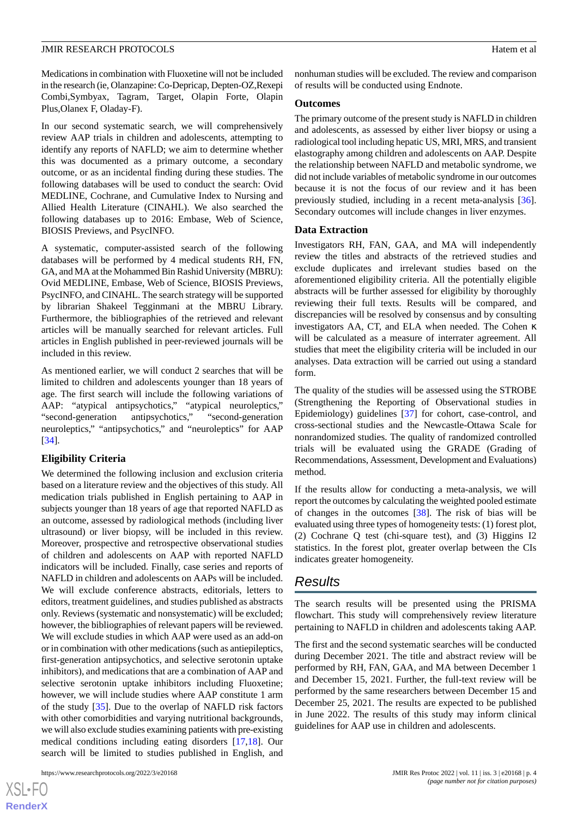#### **JMIR RESEARCH PROTOCOLS SECULAR ASSESSMENT OF A SECULAR EXECUTIVE CONSTRUERED FOR A SECULAR EXECUTIVE CONSTRUERED FOR A SECULAR EXECUTIVE CONSTRUERED FOR A SECULAR EXECUTIVE CONSTRUERED FOR A SECULAR EXECUTIVE CONSTRUER**

Medications in combination with Fluoxetine will not be included in the research (ie, Olanzapine: Co-Depricap, Depten-OZ,Rexepi Combi,Symbyax, Tagram, Target, Olapin Forte, Olapin Plus,Olanex F, Oladay-F).

In our second systematic search, we will comprehensively review AAP trials in children and adolescents, attempting to identify any reports of NAFLD; we aim to determine whether this was documented as a primary outcome, a secondary outcome, or as an incidental finding during these studies. The following databases will be used to conduct the search: Ovid MEDLINE, Cochrane, and Cumulative Index to Nursing and Allied Health Literature (CINAHL). We also searched the following databases up to 2016: Embase, Web of Science, BIOSIS Previews, and PsycINFO.

A systematic, computer-assisted search of the following databases will be performed by 4 medical students RH, FN, GA, and MA at the Mohammed Bin Rashid University (MBRU): Ovid MEDLINE, Embase, Web of Science, BIOSIS Previews, PsycINFO, and CINAHL. The search strategy will be supported by librarian Shakeel Tegginmani at the MBRU Library. Furthermore, the bibliographies of the retrieved and relevant articles will be manually searched for relevant articles. Full articles in English published in peer-reviewed journals will be included in this review.

As mentioned earlier, we will conduct 2 searches that will be limited to children and adolescents younger than 18 years of age. The first search will include the following variations of AAP: "atypical antipsychotics," "atypical neuroleptics," "second-generation antipsychotics," "second-generation neuroleptics," "antipsychotics," and "neuroleptics" for AAP [[34\]](#page-5-19).

#### **Eligibility Criteria**

We determined the following inclusion and exclusion criteria based on a literature review and the objectives of this study. All medication trials published in English pertaining to AAP in subjects younger than 18 years of age that reported NAFLD as an outcome, assessed by radiological methods (including liver ultrasound) or liver biopsy, will be included in this review. Moreover, prospective and retrospective observational studies of children and adolescents on AAP with reported NAFLD indicators will be included. Finally, case series and reports of NAFLD in children and adolescents on AAPs will be included. We will exclude conference abstracts, editorials, letters to editors, treatment guidelines, and studies published as abstracts only. Reviews (systematic and nonsystematic) will be excluded; however, the bibliographies of relevant papers will be reviewed. We will exclude studies in which AAP were used as an add-on or in combination with other medications (such as antiepileptics, first-generation antipsychotics, and selective serotonin uptake inhibitors), and medications that are a combination of AAP and selective serotonin uptake inhibitors including Fluoxetine; however, we will include studies where AAP constitute 1 arm of the study [\[35](#page-5-20)]. Due to the overlap of NAFLD risk factors with other comorbidities and varying nutritional backgrounds, we will also exclude studies examining patients with pre-existing medical conditions including eating disorders [[17](#page-5-2)[,18](#page-5-3)]. Our search will be limited to studies published in English, and

 $XS$  $\cdot$ FC **[RenderX](http://www.renderx.com/)** nonhuman studies will be excluded. The review and comparison of results will be conducted using Endnote.

#### **Outcomes**

The primary outcome of the present study is NAFLD in children and adolescents, as assessed by either liver biopsy or using a radiological tool including hepatic US, MRI, MRS, and transient elastography among children and adolescents on AAP. Despite the relationship between NAFLD and metabolic syndrome, we did not include variables of metabolic syndrome in our outcomes because it is not the focus of our review and it has been previously studied, including in a recent meta-analysis [[36\]](#page-6-0). Secondary outcomes will include changes in liver enzymes.

#### **Data Extraction**

Investigators RH, FAN, GAA, and MA will independently review the titles and abstracts of the retrieved studies and exclude duplicates and irrelevant studies based on the aforementioned eligibility criteria. All the potentially eligible abstracts will be further assessed for eligibility by thoroughly reviewing their full texts. Results will be compared, and discrepancies will be resolved by consensus and by consulting investigators AA, CT, and ELA when needed. The Cohen κ will be calculated as a measure of interrater agreement. All studies that meet the eligibility criteria will be included in our analyses. Data extraction will be carried out using a standard form.

The quality of the studies will be assessed using the STROBE (Strengthening the Reporting of Observational studies in Epidemiology) guidelines [[37\]](#page-6-1) for cohort, case-control, and cross-sectional studies and the Newcastle-Ottawa Scale for nonrandomized studies. The quality of randomized controlled trials will be evaluated using the GRADE (Grading of Recommendations, Assessment, Development and Evaluations) method.

If the results allow for conducting a meta-analysis, we will report the outcomes by calculating the weighted pooled estimate of changes in the outcomes [\[38](#page-6-2)]. The risk of bias will be evaluated using three types of homogeneity tests: (1) forest plot, (2) Cochrane Q test (chi-square test), and (3) Higgins I2 statistics. In the forest plot, greater overlap between the CIs indicates greater homogeneity.

### *Results*

The search results will be presented using the PRISMA flowchart. This study will comprehensively review literature pertaining to NAFLD in children and adolescents taking AAP.

The first and the second systematic searches will be conducted during December 2021. The title and abstract review will be performed by RH, FAN, GAA, and MA between December 1 and December 15, 2021. Further, the full-text review will be performed by the same researchers between December 15 and December 25, 2021. The results are expected to be published in June 2022. The results of this study may inform clinical guidelines for AAP use in children and adolescents.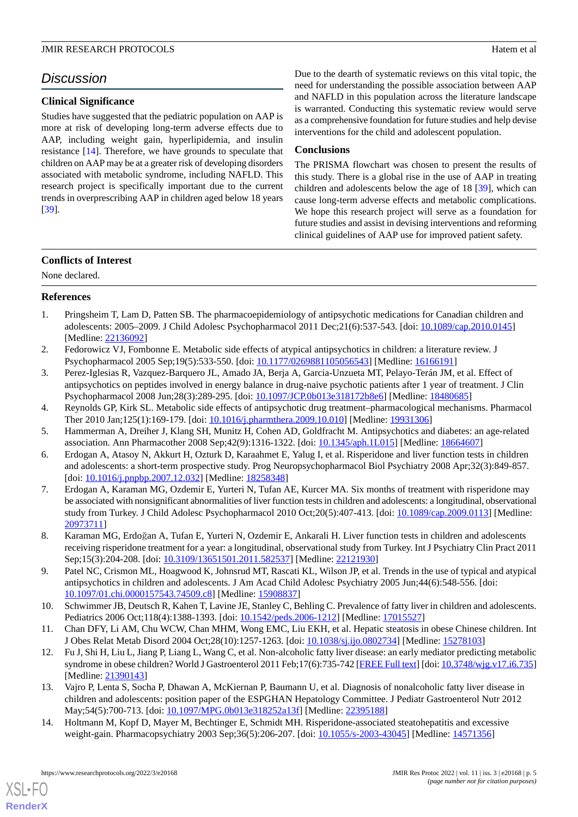#### **JMIR RESEARCH PROTOCOLS Hatem et al. Hatem et al. Hatem et al. Hatem et al. Hatem et al. Hatem et al. Hatem et al. Hatem et al. Hatem et al. Hatem et al. Hatem et al. Hatem et al. Hatem et al.**

# *Discussion*

# **Clinical Significance**

Studies have suggested that the pediatric population on AAP is more at risk of developing long-term adverse effects due to AAP, including weight gain, hyperlipidemia, and insulin resistance [[14\]](#page-4-10). Therefore, we have grounds to speculate that children on AAP may be at a greater risk of developing disorders associated with metabolic syndrome, including NAFLD. This research project is specifically important due to the current trends in overprescribing AAP in children aged below 18 years [[39\]](#page-6-3).

Due to the dearth of systematic reviews on this vital topic, the need for understanding the possible association between AAP and NAFLD in this population across the literature landscape is warranted. Conducting this systematic review would serve as a comprehensive foundation for future studies and help devise interventions for the child and adolescent population.

# **Conclusions**

The PRISMA flowchart was chosen to present the results of this study. There is a global rise in the use of AAP in treating children and adolescents below the age of 18 [[39\]](#page-6-3), which can cause long-term adverse effects and metabolic complications. We hope this research project will serve as a foundation for future studies and assist in devising interventions and reforming clinical guidelines of AAP use for improved patient safety.

## **Conflicts of Interest**

<span id="page-4-0"></span>None declared.

# **References**

- <span id="page-4-1"></span>1. Pringsheim T, Lam D, Patten SB. The pharmacoepidemiology of antipsychotic medications for Canadian children and adolescents: 2005–2009. J Child Adolesc Psychopharmacol 2011 Dec;21(6):537-543. [doi: [10.1089/cap.2010.0145\]](http://dx.doi.org/10.1089/cap.2010.0145) [Medline: [22136092](http://www.ncbi.nlm.nih.gov/entrez/query.fcgi?cmd=Retrieve&db=PubMed&list_uids=22136092&dopt=Abstract)]
- 2. Fedorowicz VJ, Fombonne E. Metabolic side effects of atypical antipsychotics in children: a literature review. J Psychopharmacol 2005 Sep;19(5):533-550. [doi: [10.1177/0269881105056543\]](http://dx.doi.org/10.1177/0269881105056543) [Medline: [16166191\]](http://www.ncbi.nlm.nih.gov/entrez/query.fcgi?cmd=Retrieve&db=PubMed&list_uids=16166191&dopt=Abstract)
- <span id="page-4-3"></span><span id="page-4-2"></span>3. Perez-Iglesias R, Vazquez-Barquero JL, Amado JA, Berja A, Garcia-Unzueta MT, Pelayo-Terán JM, et al. Effect of antipsychotics on peptides involved in energy balance in drug-naive psychotic patients after 1 year of treatment. J Clin Psychopharmacol 2008 Jun;28(3):289-295. [doi: [10.1097/JCP.0b013e318172b8e6](http://dx.doi.org/10.1097/JCP.0b013e318172b8e6)] [Medline: [18480685\]](http://www.ncbi.nlm.nih.gov/entrez/query.fcgi?cmd=Retrieve&db=PubMed&list_uids=18480685&dopt=Abstract)
- <span id="page-4-4"></span>4. Reynolds GP, Kirk SL. Metabolic side effects of antipsychotic drug treatment–pharmacological mechanisms. Pharmacol Ther 2010 Jan;125(1):169-179. [doi: [10.1016/j.pharmthera.2009.10.010](http://dx.doi.org/10.1016/j.pharmthera.2009.10.010)] [Medline: [19931306](http://www.ncbi.nlm.nih.gov/entrez/query.fcgi?cmd=Retrieve&db=PubMed&list_uids=19931306&dopt=Abstract)]
- 5. Hammerman A, Dreiher J, Klang SH, Munitz H, Cohen AD, Goldfracht M. Antipsychotics and diabetes: an age-related association. Ann Pharmacother 2008 Sep;42(9):1316-1322. [doi: [10.1345/aph.1L015](http://dx.doi.org/10.1345/aph.1L015)] [Medline: [18664607](http://www.ncbi.nlm.nih.gov/entrez/query.fcgi?cmd=Retrieve&db=PubMed&list_uids=18664607&dopt=Abstract)]
- 6. Erdogan A, Atasoy N, Akkurt H, Ozturk D, Karaahmet E, Yalug I, et al. Risperidone and liver function tests in children and adolescents: a short-term prospective study. Prog Neuropsychopharmacol Biol Psychiatry 2008 Apr;32(3):849-857. [doi: [10.1016/j.pnpbp.2007.12.032\]](http://dx.doi.org/10.1016/j.pnpbp.2007.12.032) [Medline: [18258348\]](http://www.ncbi.nlm.nih.gov/entrez/query.fcgi?cmd=Retrieve&db=PubMed&list_uids=18258348&dopt=Abstract)
- 7. Erdogan A, Karaman MG, Ozdemir E, Yurteri N, Tufan AE, Kurcer MA. Six months of treatment with risperidone may be associated with nonsignificant abnormalities of liver function tests in children and adolescents: a longitudinal, observational study from Turkey. J Child Adolesc Psychopharmacol 2010 Oct;20(5):407-413. [doi: [10.1089/cap.2009.0113](http://dx.doi.org/10.1089/cap.2009.0113)] [Medline: [20973711](http://www.ncbi.nlm.nih.gov/entrez/query.fcgi?cmd=Retrieve&db=PubMed&list_uids=20973711&dopt=Abstract)]
- <span id="page-4-6"></span><span id="page-4-5"></span>8. Karaman MG, Erdoğan A, Tufan E, Yurteri N, Ozdemir E, Ankarali H. Liver function tests in children and adolescents receiving risperidone treatment for a year: a longitudinal, observational study from Turkey. Int J Psychiatry Clin Pract 2011 Sep;15(3):204-208. [doi: [10.3109/13651501.2011.582537\]](http://dx.doi.org/10.3109/13651501.2011.582537) [Medline: [22121930](http://www.ncbi.nlm.nih.gov/entrez/query.fcgi?cmd=Retrieve&db=PubMed&list_uids=22121930&dopt=Abstract)]
- <span id="page-4-7"></span>9. Patel NC, Crismon ML, Hoagwood K, Johnsrud MT, Rascati KL, Wilson JP, et al. Trends in the use of typical and atypical antipsychotics in children and adolescents. J Am Acad Child Adolesc Psychiatry 2005 Jun;44(6):548-556. [doi: [10.1097/01.chi.0000157543.74509.c8](http://dx.doi.org/10.1097/01.chi.0000157543.74509.c8)] [Medline: [15908837](http://www.ncbi.nlm.nih.gov/entrez/query.fcgi?cmd=Retrieve&db=PubMed&list_uids=15908837&dopt=Abstract)]
- <span id="page-4-8"></span>10. Schwimmer JB, Deutsch R, Kahen T, Lavine JE, Stanley C, Behling C. Prevalence of fatty liver in children and adolescents. Pediatrics 2006 Oct;118(4):1388-1393. [doi: [10.1542/peds.2006-1212\]](http://dx.doi.org/10.1542/peds.2006-1212) [Medline: [17015527](http://www.ncbi.nlm.nih.gov/entrez/query.fcgi?cmd=Retrieve&db=PubMed&list_uids=17015527&dopt=Abstract)]
- <span id="page-4-9"></span>11. Chan DFY, Li AM, Chu WCW, Chan MHM, Wong EMC, Liu EKH, et al. Hepatic steatosis in obese Chinese children. Int J Obes Relat Metab Disord 2004 Oct;28(10):1257-1263. [doi: [10.1038/sj.ijo.0802734\]](http://dx.doi.org/10.1038/sj.ijo.0802734) [Medline: [15278103](http://www.ncbi.nlm.nih.gov/entrez/query.fcgi?cmd=Retrieve&db=PubMed&list_uids=15278103&dopt=Abstract)]
- <span id="page-4-10"></span>12. Fu J, Shi H, Liu L, Jiang P, Liang L, Wang C, et al. Non-alcoholic fatty liver disease: an early mediator predicting metabolic syndrome in obese children? World J Gastroenterol 2011 Feb;17(6):735-742 [\[FREE Full text](https://www.wjgnet.com/1007-9327/full/v17/i6/735.htm)] [doi: [10.3748/wjg.v17.i6.735\]](http://dx.doi.org/10.3748/wjg.v17.i6.735) [Medline: [21390143](http://www.ncbi.nlm.nih.gov/entrez/query.fcgi?cmd=Retrieve&db=PubMed&list_uids=21390143&dopt=Abstract)]
- 13. Vajro P, Lenta S, Socha P, Dhawan A, McKiernan P, Baumann U, et al. Diagnosis of nonalcoholic fatty liver disease in children and adolescents: position paper of the ESPGHAN Hepatology Committee. J Pediatr Gastroenterol Nutr 2012 May;54(5):700-713. [doi: [10.1097/MPG.0b013e318252a13f](http://dx.doi.org/10.1097/MPG.0b013e318252a13f)] [Medline: [22395188](http://www.ncbi.nlm.nih.gov/entrez/query.fcgi?cmd=Retrieve&db=PubMed&list_uids=22395188&dopt=Abstract)]
- 14. Holtmann M, Kopf D, Mayer M, Bechtinger E, Schmidt MH. Risperidone-associated steatohepatitis and excessive weight-gain. Pharmacopsychiatry 2003 Sep;36(5):206-207. [doi: [10.1055/s-2003-43045\]](http://dx.doi.org/10.1055/s-2003-43045) [Medline: [14571356](http://www.ncbi.nlm.nih.gov/entrez/query.fcgi?cmd=Retrieve&db=PubMed&list_uids=14571356&dopt=Abstract)]

[XSL](http://www.w3.org/Style/XSL)•FO **[RenderX](http://www.renderx.com/)**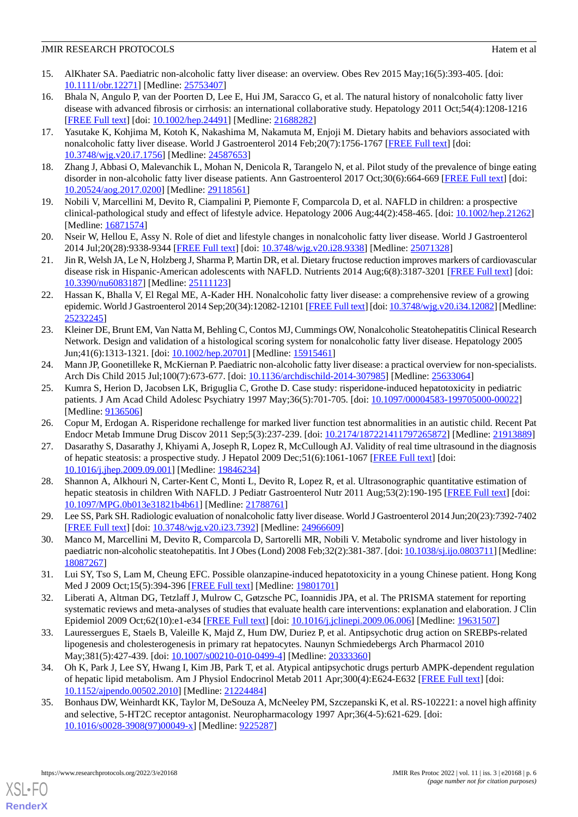#### **JMIR RESEARCH PROTOCOLS Hatem et al. Hatem et al. Hatem et al. Hatem et al. Hatem et al. Hatem et al. Hatem et al. Hatem et al. Hatem et al. Hatem et al. Hatem et al. Hatem et al. Hatem et al.**

- <span id="page-5-0"></span>15. AlKhater SA. Paediatric non-alcoholic fatty liver disease: an overview. Obes Rev 2015 May;16(5):393-405. [doi: [10.1111/obr.12271](http://dx.doi.org/10.1111/obr.12271)] [Medline: [25753407\]](http://www.ncbi.nlm.nih.gov/entrez/query.fcgi?cmd=Retrieve&db=PubMed&list_uids=25753407&dopt=Abstract)
- <span id="page-5-1"></span>16. Bhala N, Angulo P, van der Poorten D, Lee E, Hui JM, Saracco G, et al. The natural history of nonalcoholic fatty liver disease with advanced fibrosis or cirrhosis: an international collaborative study. Hepatology 2011 Oct;54(4):1208-1216 [[FREE Full text](http://europepmc.org/abstract/MED/21688282)] [doi: [10.1002/hep.24491\]](http://dx.doi.org/10.1002/hep.24491) [Medline: [21688282](http://www.ncbi.nlm.nih.gov/entrez/query.fcgi?cmd=Retrieve&db=PubMed&list_uids=21688282&dopt=Abstract)]
- <span id="page-5-2"></span>17. Yasutake K, Kohjima M, Kotoh K, Nakashima M, Nakamuta M, Enjoji M. Dietary habits and behaviors associated with nonalcoholic fatty liver disease. World J Gastroenterol 2014 Feb;20(7):1756-1767 [\[FREE Full text\]](https://www.wjgnet.com/1007-9327/full/v20/i7/1756.htm) [doi: [10.3748/wjg.v20.i7.1756](http://dx.doi.org/10.3748/wjg.v20.i7.1756)] [Medline: [24587653\]](http://www.ncbi.nlm.nih.gov/entrez/query.fcgi?cmd=Retrieve&db=PubMed&list_uids=24587653&dopt=Abstract)
- <span id="page-5-4"></span><span id="page-5-3"></span>18. Zhang J, Abbasi O, Malevanchik L, Mohan N, Denicola R, Tarangelo N, et al. Pilot study of the prevalence of binge eating disorder in non-alcoholic fatty liver disease patients. Ann Gastroenterol 2017 Oct;30(6):664-669 [\[FREE Full text\]](http://europepmc.org/abstract/MED/29118561) [doi: [10.20524/aog.2017.0200](http://dx.doi.org/10.20524/aog.2017.0200)] [Medline: [29118561](http://www.ncbi.nlm.nih.gov/entrez/query.fcgi?cmd=Retrieve&db=PubMed&list_uids=29118561&dopt=Abstract)]
- <span id="page-5-5"></span>19. Nobili V, Marcellini M, Devito R, Ciampalini P, Piemonte F, Comparcola D, et al. NAFLD in children: a prospective clinical-pathological study and effect of lifestyle advice. Hepatology 2006 Aug;44(2):458-465. [doi: [10.1002/hep.21262](http://dx.doi.org/10.1002/hep.21262)] [Medline: [16871574](http://www.ncbi.nlm.nih.gov/entrez/query.fcgi?cmd=Retrieve&db=PubMed&list_uids=16871574&dopt=Abstract)]
- <span id="page-5-6"></span>20. Nseir W, Hellou E, Assy N. Role of diet and lifestyle changes in nonalcoholic fatty liver disease. World J Gastroenterol 2014 Jul;20(28):9338-9344 [\[FREE Full text](https://www.wjgnet.com/1007-9327/full/v20/i28/9338.htm)] [doi: [10.3748/wjg.v20.i28.9338](http://dx.doi.org/10.3748/wjg.v20.i28.9338)] [Medline: [25071328](http://www.ncbi.nlm.nih.gov/entrez/query.fcgi?cmd=Retrieve&db=PubMed&list_uids=25071328&dopt=Abstract)]
- <span id="page-5-7"></span>21. Jin R, Welsh JA, Le N, Holzberg J, Sharma P, Martin DR, et al. Dietary fructose reduction improves markers of cardiovascular disease risk in Hispanic-American adolescents with NAFLD. Nutrients 2014 Aug;6(8):3187-3201 [\[FREE Full text\]](https://www.mdpi.com/resolver?pii=nu6083187) [doi: [10.3390/nu6083187\]](http://dx.doi.org/10.3390/nu6083187) [Medline: [25111123\]](http://www.ncbi.nlm.nih.gov/entrez/query.fcgi?cmd=Retrieve&db=PubMed&list_uids=25111123&dopt=Abstract)
- <span id="page-5-8"></span>22. Hassan K, Bhalla V, El Regal ME, A-Kader HH. Nonalcoholic fatty liver disease: a comprehensive review of a growing epidemic. World J Gastroenterol 2014 Sep;20(34):12082-12101 [\[FREE Full text\]](https://www.wjgnet.com/1007-9327/full/v20/i34/12082.htm) [doi: [10.3748/wjg.v20.i34.12082](http://dx.doi.org/10.3748/wjg.v20.i34.12082)] [Medline: [25232245](http://www.ncbi.nlm.nih.gov/entrez/query.fcgi?cmd=Retrieve&db=PubMed&list_uids=25232245&dopt=Abstract)]
- <span id="page-5-9"></span>23. Kleiner DE, Brunt EM, Van Natta M, Behling C, Contos MJ, Cummings OW, Nonalcoholic Steatohepatitis Clinical Research Network. Design and validation of a histological scoring system for nonalcoholic fatty liver disease. Hepatology 2005 Jun;41(6):1313-1321. [doi: [10.1002/hep.20701\]](http://dx.doi.org/10.1002/hep.20701) [Medline: [15915461](http://www.ncbi.nlm.nih.gov/entrez/query.fcgi?cmd=Retrieve&db=PubMed&list_uids=15915461&dopt=Abstract)]
- <span id="page-5-10"></span>24. Mann JP, Goonetilleke R, McKiernan P. Paediatric non-alcoholic fatty liver disease: a practical overview for non-specialists. Arch Dis Child 2015 Jul;100(7):673-677. [doi: [10.1136/archdischild-2014-307985](http://dx.doi.org/10.1136/archdischild-2014-307985)] [Medline: [25633064\]](http://www.ncbi.nlm.nih.gov/entrez/query.fcgi?cmd=Retrieve&db=PubMed&list_uids=25633064&dopt=Abstract)
- <span id="page-5-12"></span><span id="page-5-11"></span>25. Kumra S, Herion D, Jacobsen LK, Briguglia C, Grothe D. Case study: risperidone-induced hepatotoxicity in pediatric patients. J Am Acad Child Adolesc Psychiatry 1997 May;36(5):701-705. [doi: [10.1097/00004583-199705000-00022](http://dx.doi.org/10.1097/00004583-199705000-00022)] [Medline: [9136506\]](http://www.ncbi.nlm.nih.gov/entrez/query.fcgi?cmd=Retrieve&db=PubMed&list_uids=9136506&dopt=Abstract)
- <span id="page-5-13"></span>26. Copur M, Erdogan A. Risperidone rechallenge for marked liver function test abnormalities in an autistic child. Recent Pat Endocr Metab Immune Drug Discov 2011 Sep;5(3):237-239. [doi: [10.2174/187221411797265872](http://dx.doi.org/10.2174/187221411797265872)] [Medline: [21913889](http://www.ncbi.nlm.nih.gov/entrez/query.fcgi?cmd=Retrieve&db=PubMed&list_uids=21913889&dopt=Abstract)]
- 27. Dasarathy S, Dasarathy J, Khiyami A, Joseph R, Lopez R, McCullough AJ. Validity of real time ultrasound in the diagnosis of hepatic steatosis: a prospective study. J Hepatol 2009 Dec;51(6):1061-1067 [[FREE Full text](http://europepmc.org/abstract/MED/19846234)] [doi: [10.1016/j.jhep.2009.09.001\]](http://dx.doi.org/10.1016/j.jhep.2009.09.001) [Medline: [19846234\]](http://www.ncbi.nlm.nih.gov/entrez/query.fcgi?cmd=Retrieve&db=PubMed&list_uids=19846234&dopt=Abstract)
- <span id="page-5-15"></span><span id="page-5-14"></span>28. Shannon A, Alkhouri N, Carter-Kent C, Monti L, Devito R, Lopez R, et al. Ultrasonographic quantitative estimation of hepatic steatosis in children With NAFLD. J Pediatr Gastroenterol Nutr 2011 Aug;53(2):190-195 [[FREE Full text](http://europepmc.org/abstract/MED/21788761)] [doi: [10.1097/MPG.0b013e31821b4b61](http://dx.doi.org/10.1097/MPG.0b013e31821b4b61)] [Medline: [21788761](http://www.ncbi.nlm.nih.gov/entrez/query.fcgi?cmd=Retrieve&db=PubMed&list_uids=21788761&dopt=Abstract)]
- <span id="page-5-16"></span>29. Lee SS, Park SH. Radiologic evaluation of nonalcoholic fatty liver disease. World J Gastroenterol 2014 Jun;20(23):7392-7402 [[FREE Full text](https://www.wjgnet.com/1007-9327/full/v20/i23/7392.htm)] [doi: [10.3748/wjg.v20.i23.7392](http://dx.doi.org/10.3748/wjg.v20.i23.7392)] [Medline: [24966609\]](http://www.ncbi.nlm.nih.gov/entrez/query.fcgi?cmd=Retrieve&db=PubMed&list_uids=24966609&dopt=Abstract)
- <span id="page-5-17"></span>30. Manco M, Marcellini M, Devito R, Comparcola D, Sartorelli MR, Nobili V. Metabolic syndrome and liver histology in paediatric non-alcoholic steatohepatitis. Int J Obes (Lond) 2008 Feb;32(2):381-387. [doi: [10.1038/sj.ijo.0803711](http://dx.doi.org/10.1038/sj.ijo.0803711)] [Medline: [18087267](http://www.ncbi.nlm.nih.gov/entrez/query.fcgi?cmd=Retrieve&db=PubMed&list_uids=18087267&dopt=Abstract)]
- <span id="page-5-18"></span>31. Lui SY, Tso S, Lam M, Cheung EFC. Possible olanzapine-induced hepatotoxicity in a young Chinese patient. Hong Kong Med J 2009 Oct;15(5):394-396 [\[FREE Full text\]](http://www.hkmj.org/abstracts/v15n5/394.htm) [Medline: [19801701](http://www.ncbi.nlm.nih.gov/entrez/query.fcgi?cmd=Retrieve&db=PubMed&list_uids=19801701&dopt=Abstract)]
- <span id="page-5-19"></span>32. Liberati A, Altman DG, Tetzlaff J, Mulrow C, Gøtzsche PC, Ioannidis JPA, et al. The PRISMA statement for reporting systematic reviews and meta-analyses of studies that evaluate health care interventions: explanation and elaboration. J Clin Epidemiol 2009 Oct;62(10):e1-e34 [[FREE Full text](http://linkinghub.elsevier.com/retrieve/pii/S0895-4356(09)00180-2)] [doi: [10.1016/j.jclinepi.2009.06.006\]](http://dx.doi.org/10.1016/j.jclinepi.2009.06.006) [Medline: [19631507](http://www.ncbi.nlm.nih.gov/entrez/query.fcgi?cmd=Retrieve&db=PubMed&list_uids=19631507&dopt=Abstract)]
- <span id="page-5-20"></span>33. Lauressergues E, Staels B, Valeille K, Majd Z, Hum DW, Duriez P, et al. Antipsychotic drug action on SREBPs-related lipogenesis and cholesterogenesis in primary rat hepatocytes. Naunyn Schmiedebergs Arch Pharmacol 2010 May;381(5):427-439. [doi: [10.1007/s00210-010-0499-4\]](http://dx.doi.org/10.1007/s00210-010-0499-4) [Medline: [20333360\]](http://www.ncbi.nlm.nih.gov/entrez/query.fcgi?cmd=Retrieve&db=PubMed&list_uids=20333360&dopt=Abstract)
- 34. Oh K, Park J, Lee SY, Hwang I, Kim JB, Park T, et al. Atypical antipsychotic drugs perturb AMPK-dependent regulation of hepatic lipid metabolism. Am J Physiol Endocrinol Metab 2011 Apr;300(4):E624-E632 [\[FREE Full text\]](https://journals.physiology.org/doi/10.1152/ajpendo.00502.2010?url_ver=Z39.88-2003&rfr_id=ori:rid:crossref.org&rfr_dat=cr_pub%3dpubmed) [doi: [10.1152/ajpendo.00502.2010\]](http://dx.doi.org/10.1152/ajpendo.00502.2010) [Medline: [21224484](http://www.ncbi.nlm.nih.gov/entrez/query.fcgi?cmd=Retrieve&db=PubMed&list_uids=21224484&dopt=Abstract)]
- 35. Bonhaus DW, Weinhardt KK, Taylor M, DeSouza A, McNeeley PM, Szczepanski K, et al. RS-102221: a novel high affinity and selective, 5-HT2C receptor antagonist. Neuropharmacology 1997 Apr;36(4-5):621-629. [doi: [10.1016/s0028-3908\(97\)00049-x](http://dx.doi.org/10.1016/s0028-3908(97)00049-x)] [Medline: [9225287\]](http://www.ncbi.nlm.nih.gov/entrez/query.fcgi?cmd=Retrieve&db=PubMed&list_uids=9225287&dopt=Abstract)

[XSL](http://www.w3.org/Style/XSL)•FO **[RenderX](http://www.renderx.com/)**